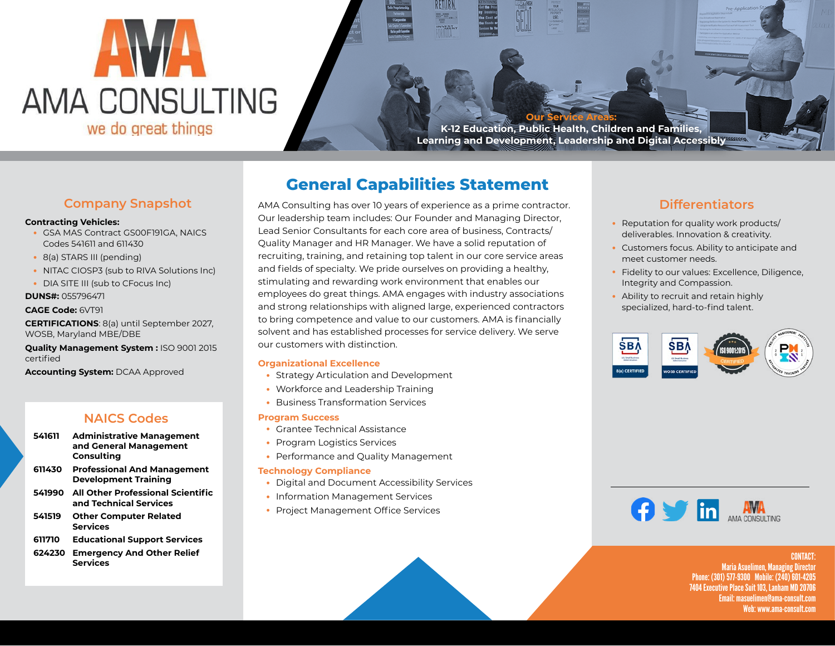

**Our Service Areas: K-12 Education, Public Health, Children and Families, Learning and Development, Leadership and Digital Accessibly**

# **Company Snapshot**

#### **Contracting Vehicles:**

- GSA MAS Contract GS00F191GA, NAICS Codes 541611 and 611430
- 8(a) STARS III (pending)
- NITAC CIOSP3 (sub to RIVA Solutions Inc)
- DIA SITE III (sub to CFocus Inc)

### **DUNS#:** 055796471

#### **CAGE Code:** 6VT91

**CERTIFICATIONS**: 8(a) until September 2027, WOSB, Maryland MBE/DBE

**Quality Management System :** ISO 9001 2015 certified

**Accounting System:** DCAA Approved

## **NAICS Codes**

- **541611 Administrative Management and General Management Consulting**
- **611430 Professional And Management Development Training**
- **541990 All Other Professional Scientific and Technical Services**
- **541519 Other Computer Related Services**
- **611710 Educational Support Services**
- **624230 Emergency And Other Relief Services**

# **General Capabilities Statement**

AMA Consulting has over 10 years of experience as a prime contractor. Our leadership team includes: Our Founder and Managing Director, Lead Senior Consultants for each core area of business, Contracts/ Quality Manager and HR Manager. We have a solid reputation of recruiting, training, and retaining top talent in our core service areas and fields of specialty. We pride ourselves on providing a healthy, stimulating and rewarding work environment that enables our employees do great things. AMA engages with industry associations and strong relationships with aligned large, experienced contractors to bring competence and value to our customers. AMA is financially solvent and has established processes for service delivery. We serve our customers with distinction.

#### **Organizational Excellence**

- Strategy Articulation and Development
- Workforce and Leadership Training
- Business Transformation Services

#### **Program Success**

- Grantee Technical Assistance
- Program Logistics Services
- Performance and Quality Management

#### **Technology Compliance**

- Digital and Document Accessibility Services
- Information Management Services
- Project Management Office Services

# **Differentiators**

- Reputation for quality work products/ deliverables. Innovation & creativity.
- Customers focus. Ability to anticipate and meet customer needs.
- Fidelity to our values: Excellence, Diligence, Integrity and Compassion.
- Ability to recruit and retain highly specialized, hard-to-find talent.





CONTACT: Maria Asuelimen, Managing Director Phone: (301) 577-9300 Mobile: (240) 601-4205 7404 Executive Place Suit 103, Lanham MD 20706 Email: masuelimen@ama-consult.com Web: www.ama-consult.com